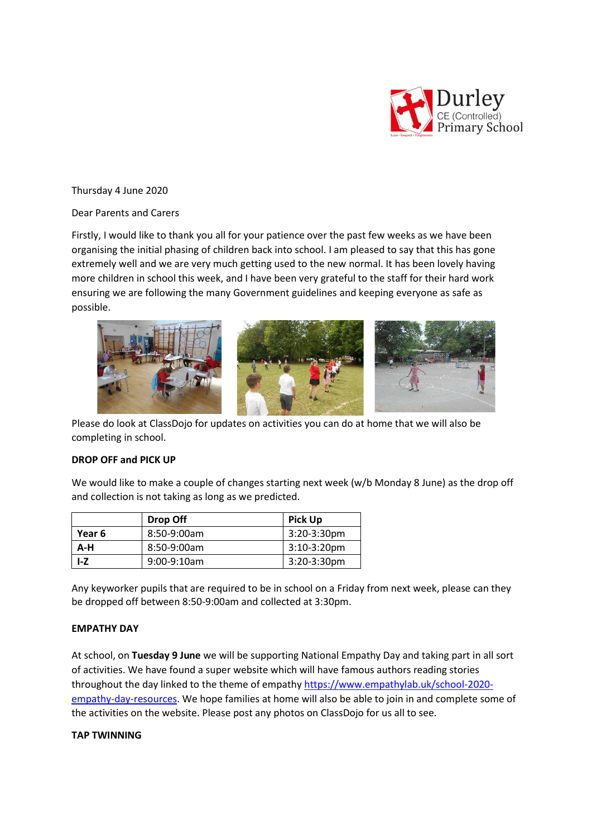

Thursday 4 June 2020

# Dear Parents and Carers

Firstly, I would like to thank you all for your patience over the past few weeks as we have been organising the initial phasing of children back into school. I am pleased to say that this has gone extremely well and we are very much getting used to the new normal. It has been lovely having more children in school this week, and I have been very grateful to the staff for their hard work ensuring we are following the many Government guidelines and keeping everyone as safe as possible.



Please do look at ClassDojo for updates on activities you can do at home that we will also be completing in school.

# **DROP OFF and PICK UP**

We would like to make a couple of changes starting next week (w/b Monday 8 June) as the drop off and collection is not taking as long as we predicted.

|        | Drop Off       | <b>Pick Up</b> |
|--------|----------------|----------------|
| Year 6 | 8:50-9:00am    | $3:20-3:30$ pm |
| $A-H$  | 8:50-9:00am    | $3:10-3:20$ pm |
| LZ     | $9:00-9:10$ am | $3:20-3:30$ pm |

Any keyworker pupils that are required to be in school on a Friday from next week, please can they be dropped off between 8:50-9:00am and collected at 3:30pm.

## **EMPATHY DAY**

At school, on **Tuesday 9 June** we will be supporting National Empathy Day and taking part in all sort of activities. We have found a super website which will have famous authors reading stories throughout the day linked to the theme of empathy [https://www.empathylab.uk/school-2020](https://www.empathylab.uk/school-2020-empathy-day-resources) [empathy-day-resources.](https://www.empathylab.uk/school-2020-empathy-day-resources) We hope families at home will also be able to join in and complete some of the activities on the website. Please post any photos on ClassDojo for us all to see.

## **TAP TWINNING**